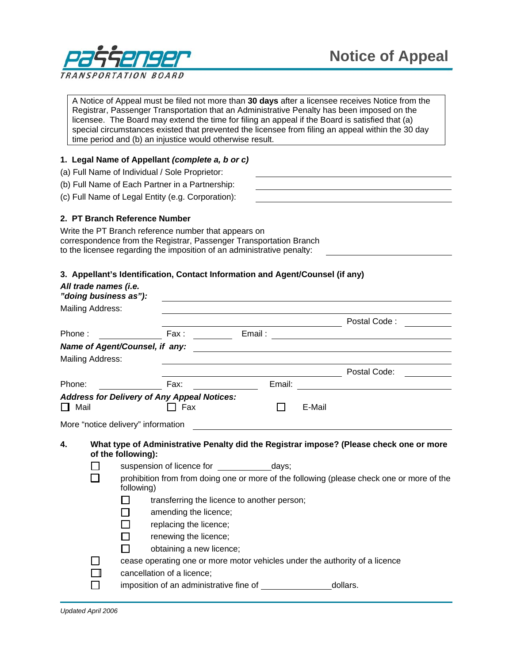

A Notice of Appeal must be filed not more than **30 days** after a licensee receives Notice from the Registrar, Passenger Transportation that an Administrative Penalty has been imposed on the licensee. The Board may extend the time for filing an appeal if the Board is satisfied that (a) special circumstances existed that prevented the licensee from filing an appeal within the 30 day time period and (b) an injustice would otherwise result.

# **1. Legal Name of Appellant** *(complete a, b or c)*

- (a) Full Name of Individual / Sole Proprietor:
- (b) Full Name of Each Partner in a Partnership:
- (c) Full Name of Legal Entity (e.g. Corporation):

# **2. PT Branch Reference Number**

Write the PT Branch reference number that appears on correspondence from the Registrar, Passenger Transportation Branch to the licensee regarding the imposition of an administrative penalty:

### **3. Appellant's Identification, Contact Information and Agent/Counsel (if any)**

|                                                                   | All trade names (i.e.<br>"doing business as"):                                                                |                                                                                                         |                          |                                                                    |              |        |                                                                                                                        |  |
|-------------------------------------------------------------------|---------------------------------------------------------------------------------------------------------------|---------------------------------------------------------------------------------------------------------|--------------------------|--------------------------------------------------------------------|--------------|--------|------------------------------------------------------------------------------------------------------------------------|--|
| Mailing Address:                                                  |                                                                                                               |                                                                                                         |                          |                                                                    |              |        |                                                                                                                        |  |
|                                                                   |                                                                                                               |                                                                                                         |                          |                                                                    |              |        | Postal Code: Notelland State State                                                                                     |  |
| Phone:                                                            |                                                                                                               |                                                                                                         |                          |                                                                    |              |        |                                                                                                                        |  |
|                                                                   |                                                                                                               |                                                                                                         |                          |                                                                    |              |        |                                                                                                                        |  |
|                                                                   | Mailing Address:                                                                                              |                                                                                                         |                          |                                                                    |              |        |                                                                                                                        |  |
|                                                                   |                                                                                                               |                                                                                                         |                          | <u> 1980 - Jan Samuel Barbara, margaret eta idazlea (h. 1980).</u> |              |        | Postal Code:                                                                                                           |  |
| Phone:                                                            |                                                                                                               |                                                                                                         | Fax:                     |                                                                    | Email:       |        | <u> 1989 - John Stein, mars and de Branch and de Branch and de Branch and de Branch and de Branch and de Branch an</u> |  |
| <b>Address for Delivery of Any Appeal Notices:</b><br>$\Box$ Mail |                                                                                                               |                                                                                                         | □ Fax                    |                                                                    | $\mathbf{L}$ | E-Mail |                                                                                                                        |  |
|                                                                   |                                                                                                               | More "notice delivery" information                                                                      |                          |                                                                    |              |        |                                                                                                                        |  |
|                                                                   |                                                                                                               |                                                                                                         |                          |                                                                    |              |        |                                                                                                                        |  |
| 4.                                                                | What type of Administrative Penalty did the Registrar impose? (Please check one or more<br>of the following): |                                                                                                         |                          |                                                                    |              |        |                                                                                                                        |  |
|                                                                   |                                                                                                               |                                                                                                         |                          | suspension of licence for ____________________days;                |              |        |                                                                                                                        |  |
|                                                                   |                                                                                                               | prohibition from from doing one or more of the following (please check one or more of the<br>following) |                          |                                                                    |              |        |                                                                                                                        |  |
|                                                                   |                                                                                                               |                                                                                                         |                          | transferring the licence to another person;                        |              |        |                                                                                                                        |  |
|                                                                   |                                                                                                               |                                                                                                         | amending the licence;    |                                                                    |              |        |                                                                                                                        |  |
|                                                                   |                                                                                                               |                                                                                                         | replacing the licence;   |                                                                    |              |        |                                                                                                                        |  |
|                                                                   |                                                                                                               |                                                                                                         | renewing the licence;    |                                                                    |              |        |                                                                                                                        |  |
|                                                                   |                                                                                                               |                                                                                                         | obtaining a new licence; |                                                                    |              |        |                                                                                                                        |  |
|                                                                   |                                                                                                               | cease operating one or more motor vehicles under the authority of a licence                             |                          |                                                                    |              |        |                                                                                                                        |  |
|                                                                   |                                                                                                               | cancellation of a licence;                                                                              |                          |                                                                    |              |        |                                                                                                                        |  |
|                                                                   |                                                                                                               |                                                                                                         |                          |                                                                    |              |        | dollars.                                                                                                               |  |